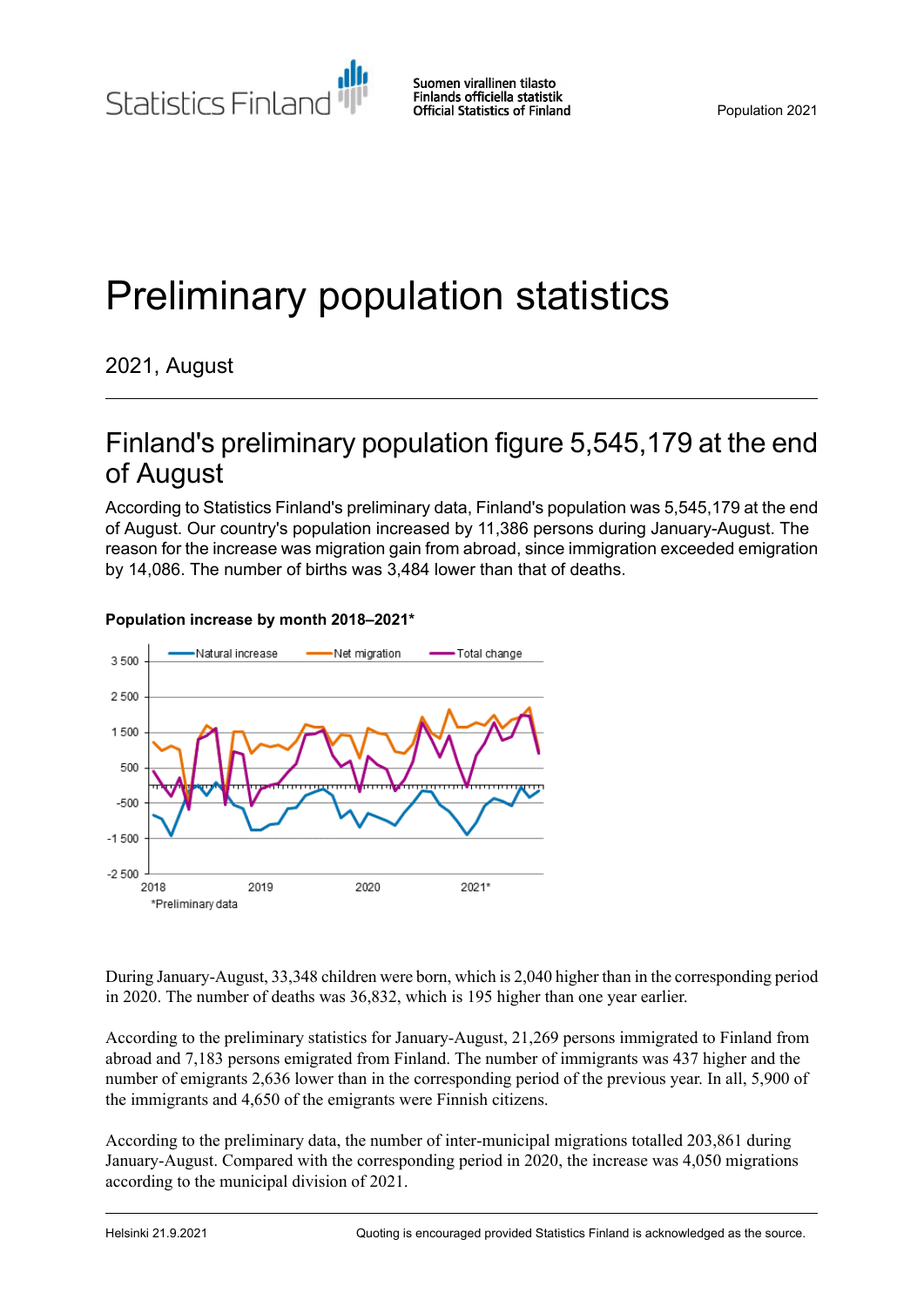**Statistics Finland** 

# Preliminary population statistics

## 2021, August

# Finland's preliminary population figure 5,545,179 at the end of August

According to Statistics Finland's preliminary data, Finland's population was 5,545,179 at the end of August. Our country's population increased by 11,386 persons during January-August. The reason for the increase was migration gain from abroad, since immigration exceeded emigration by 14,086. The number of births was 3,484 lower than that of deaths.



#### **Population increase by month 2018–2021\***

During January-August, 33,348 children were born, which is 2,040 higher than in the corresponding period in 2020. The number of deaths was 36,832, which is 195 higher than one year earlier.

According to the preliminary statistics for January-August, 21,269 persons immigrated to Finland from abroad and 7,183 persons emigrated from Finland. The number of immigrants was 437 higher and the number of emigrants 2,636 lower than in the corresponding period of the previous year. In all, 5,900 of the immigrants and 4,650 of the emigrants were Finnish citizens.

According to the preliminary data, the number of inter-municipal migrations totalled 203,861 during January-August. Compared with the corresponding period in 2020, the increase was 4,050 migrations according to the municipal division of 2021.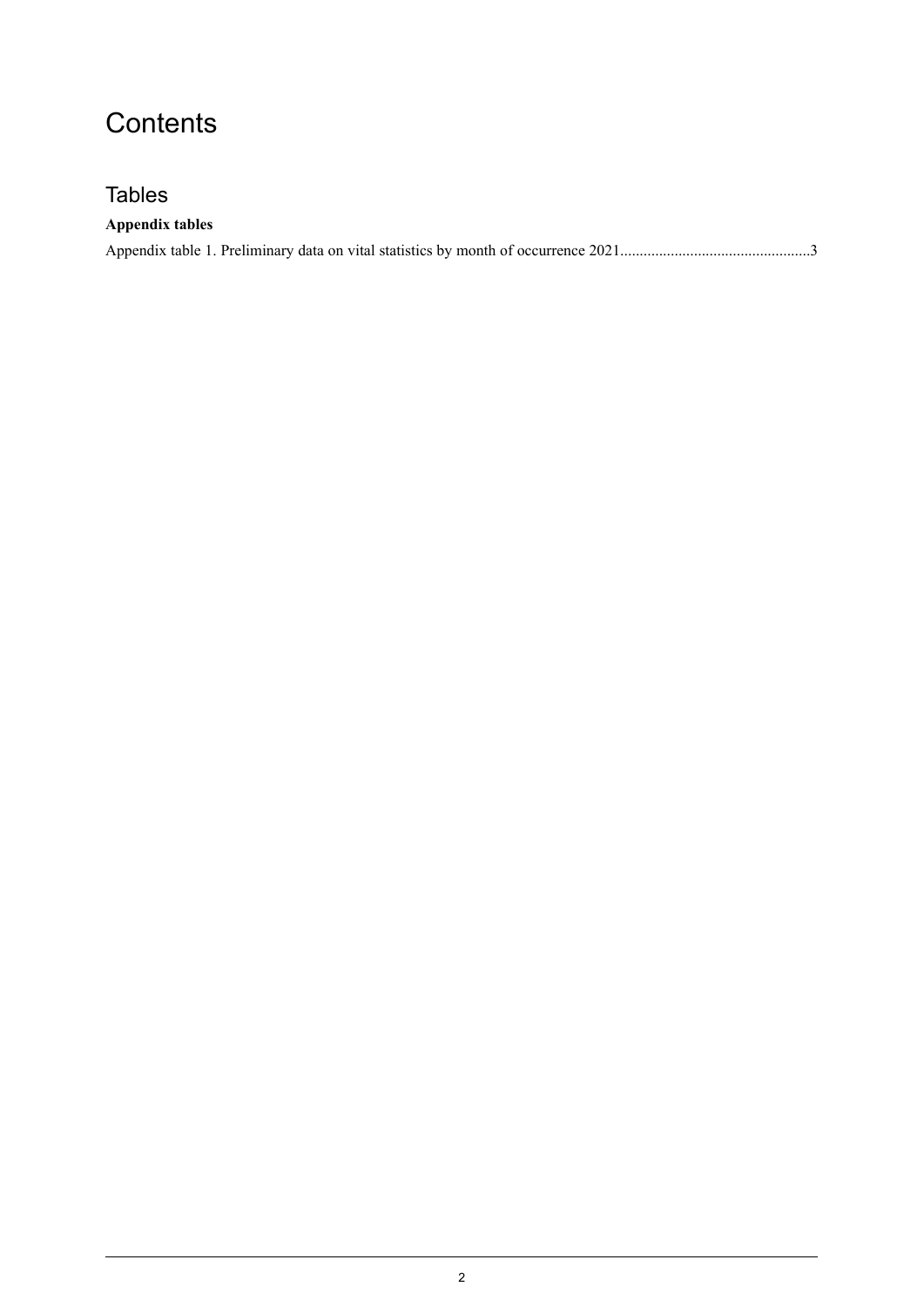# **Contents**

## **Tables**

### **Appendix tables**

|--|--|--|--|--|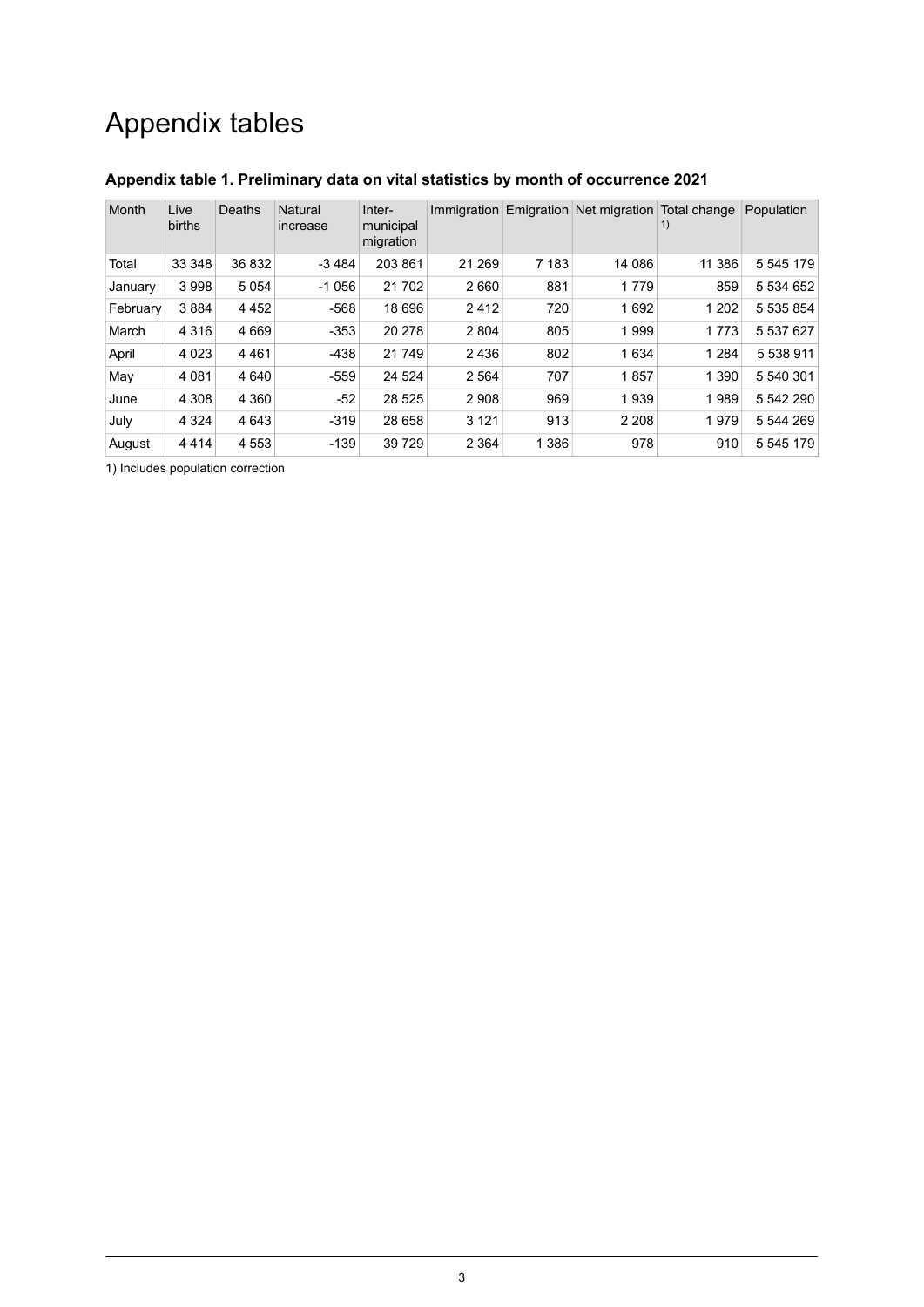# Appendix tables

| Month    | Live<br>births | Deaths  | Natural<br>increase | Inter-<br>municipal<br>migration |         |         | Immigration Emigration Net migration Total change | 1)      | Population |
|----------|----------------|---------|---------------------|----------------------------------|---------|---------|---------------------------------------------------|---------|------------|
| Total    | 33 348         | 36 832  | $-3484$             | 203 861                          | 21 269  | 7 1 8 3 | 14 086                                            | 11 386  | 5 545 179  |
| January  | 3 9 9 8        | 5054    | $-1056$             | 21 702                           | 2660    | 881     | 1779                                              | 859     | 5 534 652  |
| February | 3884           | 4 4 5 2 | $-568$              | 18 696                           | 2412    | 720     | 1692                                              | 1 202   | 5 535 854  |
| March    | 4 3 1 6        | 4 6 6 9 | $-353$              | 20 278                           | 2 8 0 4 | 805     | 1999                                              | 1773    | 5 537 627  |
| April    | 4 0 2 3        | 4 4 6 1 | $-438$              | 21 749                           | 2436    | 802     | 1 6 3 4                                           | 1 2 8 4 | 5 538 911  |
| May      | 4 0 8 1        | 4 6 4 0 | $-559$              | 24 5 24                          | 2 5 6 4 | 707     | 1857                                              | 1 3 9 0 | 5 540 301  |
| June     | 4 3 0 8        | 4 3 6 0 | $-52$               | 28 5 25                          | 2 9 0 8 | 969     | 1939                                              | 1989    | 5 542 290  |
| July     | 4 3 2 4        | 4 6 4 3 | $-319$              | 28 658                           | 3 1 2 1 | 913     | 2 2 0 8                                           | 1979    | 5 544 269  |
| August   | 4414           | 4 5 5 3 | $-139$              | 39 7 29                          | 2 3 6 4 | 1 3 8 6 | 978                                               | 910     | 5 545 179  |

#### <span id="page-2-0"></span>**Appendix table 1. Preliminary data on vital statistics by month of occurrence 2021**

1) Includes population correction